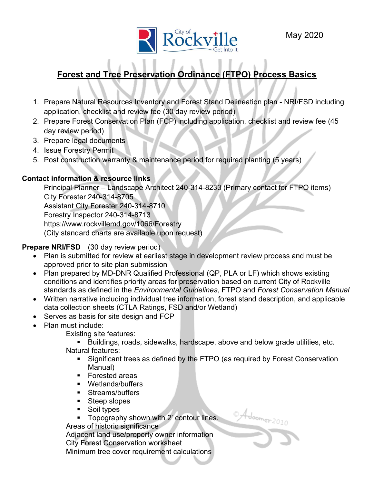

# Forest and Tree Preservation Ordinance (FTPO) Process Basics

- 1. Prepare Natural Resources Inventory and Forest Stand Delineation plan NRI/FSD including application, checklist and review fee (30 day review period)
- 2. Prepare Forest Conservation Plan (FCP) including application, checklist and review fee (45 day review period)
- 3. Prepare legal documents
- 4. Issue Forestry Permit
- 5. Post construction warranty & maintenance period for required planting (5 years)

### Contact information & resource links

Principal Planner – Landscape Architect 240-314-8233 (Primary contact for FTPO items) City Forester 240-314-8705 Assistant City Forester 240-314-8710 Forestry Inspector 240-314-8713 https://www.rockvillemd.gov/1066/Forestry (City standard charts are available upon request)

### Prepare NRI/FSD (30 day review period)

- Plan is submitted for review at earliest stage in development review process and must be approved prior to site plan submission
- Plan prepared by MD-DNR Qualified Professional (QP, PLA or LF) which shows existing conditions and identifies priority areas for preservation based on current City of Rockville standards as defined in the *Environmental Guidelines*, FTPO and Forest Conservation Manual
- Written narrative including individual tree information, forest stand description, and applicable data collection sheets (CTLA Ratings, FSD and/or Wetland)
- Serves as basis for site design and FCP
- Plan must include:

Existing site features:

**Buildings, roads, sidewalks, hardscape, above and below grade utilities, etc.** Natural features:

 Significant trees as defined by the FTPO (as required by Forest Conservation Manual)

Adoomer 2010

- Forested areas
- **•** Wetlands/buffers
- **Streams/buffers**
- Steep slopes
- **Soil types**
- **Topography shown with 2' contour lines.**

Areas of historic significance

 Adjacent land use/property owner information City Forest Conservation worksheet Minimum tree cover requirement calculations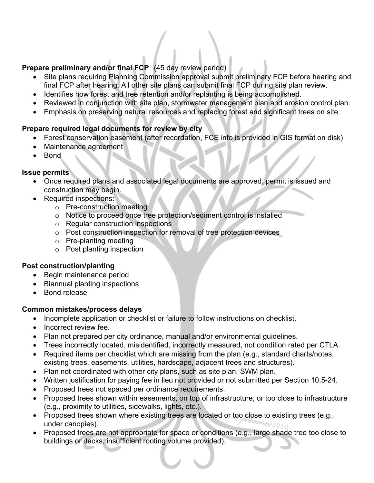## Prepare preliminary and/or final FCP (45 day review period)

- Site plans requiring Planning Commission approval submit preliminary FCP before hearing and final FCP after hearing. All other site plans can submit final FCP during site plan review.
- Identifies how forest and tree retention and/or replanting is being accomplished.
- Reviewed in conjunction with site plan, stormwater management plan and erosion control plan.
- Emphasis on preserving natural resources and replacing forest and significant trees on site.

### Prepare required legal documents for review by city

- Forest conservation easement (after recordation, FCE info is provided in GIS format on disk)
- Maintenance agreement
- Bond

### Issue permits

- Once required plans and associated legal documents are approved, permit is issued and construction may begin.
- Required inspections:
	- o Pre-construction meeting
	- o Notice to proceed once tree protection/sediment control is installed
	- o Regular construction inspections
	- o Post construction inspection for removal of tree protection devices
	- o Pre-planting meeting
	- o Post planting inspection

### Post construction/planting

- Begin maintenance period
- Biannual planting inspections
- Bond release

### Common mistakes/process delays

- Incomplete application or checklist or failure to follow instructions on checklist.
- Incorrect review fee.
- Plan not prepared per city ordinance, manual and/or environmental guidelines.
- Trees incorrectly located, misidentified, incorrectly measured, not condition rated per CTLA.
- Required items per checklist which are missing from the plan (e.g., standard charts/notes, existing trees, easements, utilities, hardscape, adjacent trees and structures).
- Plan not coordinated with other city plans, such as site plan, SWM plan.
- Written justification for paying fee in lieu not provided or not submitted per Section 10.5-24.
- Proposed trees not spaced per ordinance requirements.
- Proposed trees shown within easements, on top of infrastructure, or too close to infrastructure (e.g., proximity to utilities, sidewalks, lights, etc.).
- Proposed trees shown where existing trees are located or too close to existing trees (e.g., under canopies).
- Proposed trees are not appropriate for space or conditions (e.g., large shade tree too close to buildings or decks, insufficient rooting volume provided).